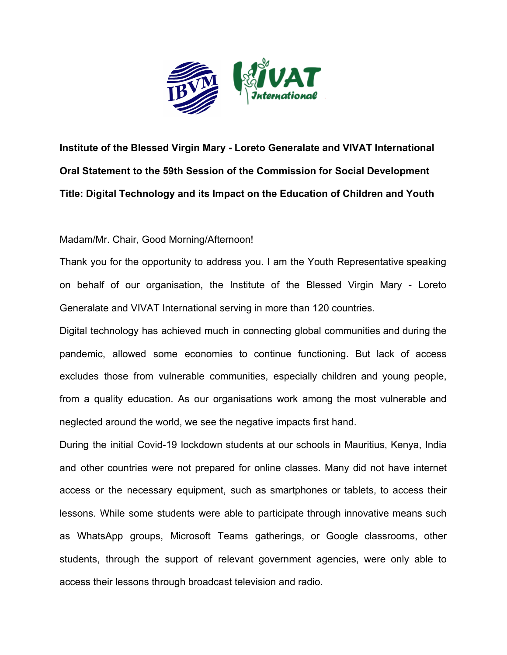

**Institute of the Blessed Virgin Mary - Loreto Generalate and VIVAT International Oral Statement to the 59th Session of the Commission for Social Development Title: Digital Technology and its Impact on the Education of Children and Youth**

## Madam/Mr. Chair, Good Morning/Afternoon!

Thank you for the opportunity to address you. I am the Youth Representative speaking on behalf of our organisation, the Institute of the Blessed Virgin Mary - Loreto Generalate and VIVAT International serving in more than 120 countries.

Digital technology has achieved much in connecting global communities and during the pandemic, allowed some economies to continue functioning. But lack of access excludes those from vulnerable communities, especially children and young people, from a quality education. As our organisations work among the most vulnerable and neglected around the world, we see the negative impacts first hand.

During the initial Covid-19 lockdown students at our schools in Mauritius, Kenya, India and other countries were not prepared for online classes. Many did not have internet access or the necessary equipment, such as smartphones or tablets, to access their lessons. While some students were able to participate through innovative means such as WhatsApp groups, Microsoft Teams gatherings, or Google classrooms, other students, through the support of relevant government agencies, were only able to access their lessons through broadcast television and radio.